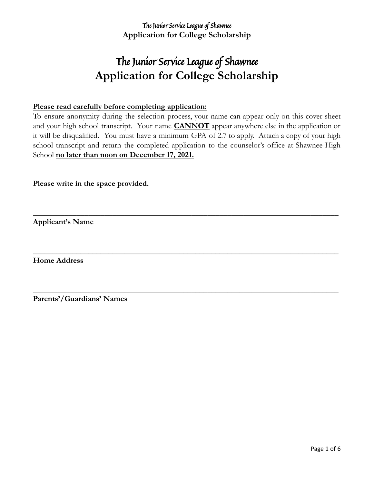# The Junior Service League of Shawnee **Application for College Scholarship**

#### **Please read carefully before completing application:**

To ensure anonymity during the selection process, your name can appear only on this cover sheet and your high school transcript. Your name **CANNOT** appear anywhere else in the application or it will be disqualified. You must have a minimum GPA of 2.7 to apply. Attach a copy of your high school transcript and return the completed application to the counselor's office at Shawnee High School **no later than noon on December 17, 2021.**

**\_\_\_\_\_\_\_\_\_\_\_\_\_\_\_\_\_\_\_\_\_\_\_\_\_\_\_\_\_\_\_\_\_\_\_\_\_\_\_\_\_\_\_\_\_\_\_\_\_\_\_\_\_\_\_\_\_\_\_\_\_\_\_\_\_\_\_\_\_\_\_\_\_\_\_\_\_**

**\_\_\_\_\_\_\_\_\_\_\_\_\_\_\_\_\_\_\_\_\_\_\_\_\_\_\_\_\_\_\_\_\_\_\_\_\_\_\_\_\_\_\_\_\_\_\_\_\_\_\_\_\_\_\_\_\_\_\_\_\_\_\_\_\_\_\_\_\_\_\_\_\_\_\_\_\_**

**\_\_\_\_\_\_\_\_\_\_\_\_\_\_\_\_\_\_\_\_\_\_\_\_\_\_\_\_\_\_\_\_\_\_\_\_\_\_\_\_\_\_\_\_\_\_\_\_\_\_\_\_\_\_\_\_\_\_\_\_\_\_\_\_\_\_\_\_\_\_\_\_\_\_\_\_\_**

**Please write in the space provided.**

**Applicant's Name**

**Home Address**

**Parents'/Guardians' Names**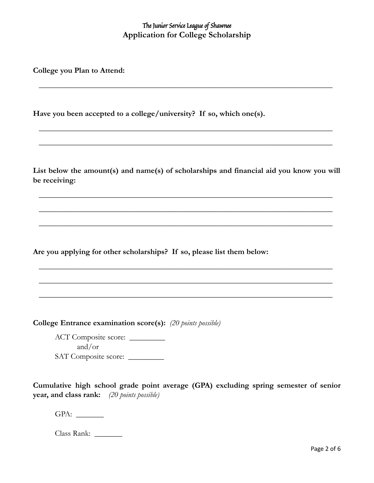**\_\_\_\_\_\_\_\_\_\_\_\_\_\_\_\_\_\_\_\_\_\_\_\_\_\_\_\_\_\_\_\_\_\_\_\_\_\_\_\_\_\_\_\_\_\_\_\_\_\_\_\_\_\_\_\_\_\_\_\_\_\_\_\_\_\_\_\_\_\_\_\_\_\_**

**\_\_\_\_\_\_\_\_\_\_\_\_\_\_\_\_\_\_\_\_\_\_\_\_\_\_\_\_\_\_\_\_\_\_\_\_\_\_\_\_\_\_\_\_\_\_\_\_\_\_\_\_\_\_\_\_\_\_\_\_\_\_\_\_\_\_\_\_\_\_\_\_\_\_**

**\_\_\_\_\_\_\_\_\_\_\_\_\_\_\_\_\_\_\_\_\_\_\_\_\_\_\_\_\_\_\_\_\_\_\_\_\_\_\_\_\_\_\_\_\_\_\_\_\_\_\_\_\_\_\_\_\_\_\_\_\_\_\_\_\_\_\_\_\_\_\_\_\_\_**

**College you Plan to Attend:**

**Have you been accepted to a college/university? If so, which one(s).**

**List below the amount(s) and name(s) of scholarships and financial aid you know you will be receiving:**

**\_\_\_\_\_\_\_\_\_\_\_\_\_\_\_\_\_\_\_\_\_\_\_\_\_\_\_\_\_\_\_\_\_\_\_\_\_\_\_\_\_\_\_\_\_\_\_\_\_\_\_\_\_\_\_\_\_\_\_\_\_\_\_\_\_\_\_\_\_\_\_\_\_\_**

**\_\_\_\_\_\_\_\_\_\_\_\_\_\_\_\_\_\_\_\_\_\_\_\_\_\_\_\_\_\_\_\_\_\_\_\_\_\_\_\_\_\_\_\_\_\_\_\_\_\_\_\_\_\_\_\_\_\_\_\_\_\_\_\_\_\_\_\_\_\_\_\_\_\_**

**\_\_\_\_\_\_\_\_\_\_\_\_\_\_\_\_\_\_\_\_\_\_\_\_\_\_\_\_\_\_\_\_\_\_\_\_\_\_\_\_\_\_\_\_\_\_\_\_\_\_\_\_\_\_\_\_\_\_\_\_\_\_\_\_\_\_\_\_\_\_\_\_\_\_**

**\_\_\_\_\_\_\_\_\_\_\_\_\_\_\_\_\_\_\_\_\_\_\_\_\_\_\_\_\_\_\_\_\_\_\_\_\_\_\_\_\_\_\_\_\_\_\_\_\_\_\_\_\_\_\_\_\_\_\_\_\_\_\_\_\_\_\_\_\_\_\_\_\_\_**

**\_\_\_\_\_\_\_\_\_\_\_\_\_\_\_\_\_\_\_\_\_\_\_\_\_\_\_\_\_\_\_\_\_\_\_\_\_\_\_\_\_\_\_\_\_\_\_\_\_\_\_\_\_\_\_\_\_\_\_\_\_\_\_\_\_\_\_\_\_\_\_\_\_\_**

**\_\_\_\_\_\_\_\_\_\_\_\_\_\_\_\_\_\_\_\_\_\_\_\_\_\_\_\_\_\_\_\_\_\_\_\_\_\_\_\_\_\_\_\_\_\_\_\_\_\_\_\_\_\_\_\_\_\_\_\_\_\_\_\_\_\_\_\_\_\_\_\_\_\_**

**Are you applying for other scholarships? If so, please list them below:**

**College Entrance examination score(s):** *(20 points possible)*

ACT Composite score: and/or SAT Composite score:

**Cumulative high school grade point average (GPA) excluding spring semester of senior year, and class rank:** *(20 points possible)*

GPA: \_\_\_\_\_\_\_

| Class Rank: |  |
|-------------|--|
|-------------|--|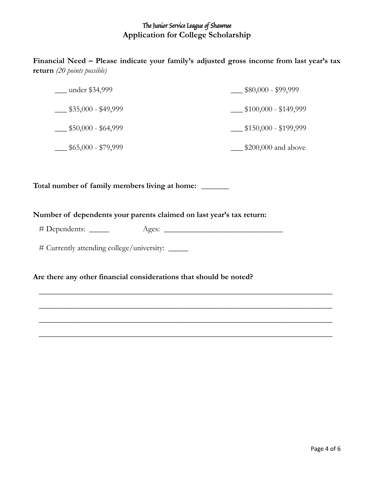**Financial Need – Please indicate your family's adjusted gross income from last year's tax return** *(20 points possible)*

| under \$34,999      | $$80,000 - $99,999$   |
|---------------------|-----------------------|
| $$35,000 - $49,999$ | $$100,000 - $149,999$ |
| $$50,000 - $64,999$ | $$150,000 - $199,999$ |
| $$65,000 - $79,999$ | $$200,000$ and above  |

**Total number of family members living at home:** \_\_\_\_\_\_\_

#### **Number of dependents your parents claimed on last year's tax return:**

# Dependents: \_\_\_\_\_ Ages: \_\_\_\_\_\_\_\_\_\_\_\_\_\_\_\_\_\_\_\_\_\_\_\_\_\_\_\_\_\_

**\_\_\_\_\_\_\_\_\_\_\_\_\_\_\_\_\_\_\_\_\_\_\_\_\_\_\_\_\_\_\_\_\_\_\_\_\_\_\_\_\_\_\_\_\_\_\_\_\_\_\_\_\_\_\_\_\_\_\_\_\_\_\_\_\_\_\_\_\_\_\_\_\_\_**

**\_\_\_\_\_\_\_\_\_\_\_\_\_\_\_\_\_\_\_\_\_\_\_\_\_\_\_\_\_\_\_\_\_\_\_\_\_\_\_\_\_\_\_\_\_\_\_\_\_\_\_\_\_\_\_\_\_\_\_\_\_\_\_\_\_\_\_\_\_\_\_\_\_\_**

**\_\_\_\_\_\_\_\_\_\_\_\_\_\_\_\_\_\_\_\_\_\_\_\_\_\_\_\_\_\_\_\_\_\_\_\_\_\_\_\_\_\_\_\_\_\_\_\_\_\_\_\_\_\_\_\_\_\_\_\_\_\_\_\_\_\_\_\_\_\_\_\_\_\_**

**\_\_\_\_\_\_\_\_\_\_\_\_\_\_\_\_\_\_\_\_\_\_\_\_\_\_\_\_\_\_\_\_\_\_\_\_\_\_\_\_\_\_\_\_\_\_\_\_\_\_\_\_\_\_\_\_\_\_\_\_\_\_\_\_\_\_\_\_\_\_\_\_\_\_**

# Currently attending college/university: \_\_\_\_\_

#### **Are there any other financial considerations that should be noted?**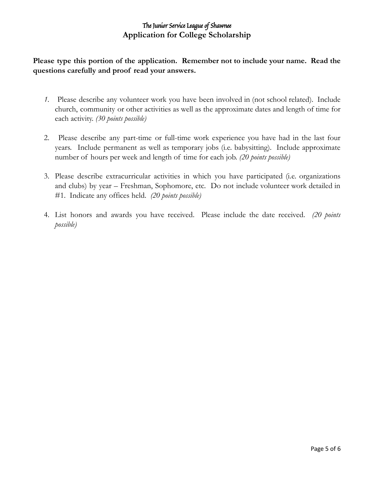**Please type this portion of the application. Remember not to include your name. Read the questions carefully and proof read your answers.**

- *1.* Please describe any volunteer work you have been involved in (not school related). Include church, community or other activities as well as the approximate dates and length of time for each activity. *(30 points possible)*
- 2. Please describe any part-time or full-time work experience you have had in the last four years. Include permanent as well as temporary jobs (i.e. babysitting). Include approximate number of hours per week and length of time for each job. *(20 points possible)*
- 3. Please describe extracurricular activities in which you have participated (i.e. organizations and clubs) by year – Freshman, Sophomore, etc. Do not include volunteer work detailed in #1. Indicate any offices held. *(20 points possible)*
- 4. List honors and awards you have received. Please include the date received. *(20 points possible)*